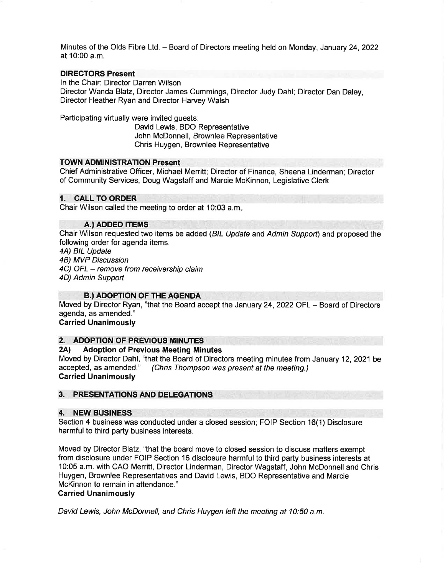Minutes of the Olds Fibre Ltd. - Board of Directors meeting held on Monday, January 24, 2022 at 10:00 a.m.

# DIRECTORS Present

ln the Chair: Director Darren Wilson

Director Wanda Blatz, Director James Cummings, Director Judy Dahl; Director Dan Daley, Director Heather Ryan and Director Harvey Walsh

Participating virtually were invited guests:

David Lewis, BDO Representative John McDonnell, Brownlee Representative Chris Huygen, Brownlee Representative

#### TOWN ADMINISTRATION Present

Chief Administrative Officer, Michael Merritt; Director of Finance, Sheena Linderman; Director of Community Services, Doug Wagstaff and Marcie McKinnon, Legislative Clerk

# 1. CALL TO ORDER

Chair Wilson called the meeting to order at 10:03 a.m

#### A.) ADDED ITEMS

Chair Wilson requested two items be added (BlL Update and Admin Support) and proposed the following order for agenda items.

4A) BIL Update

4B) MVP Discussion

4C) OFL - remove from receivership claim

4D) Admin Support

### B.) ADOPTION OF THE AGENDA

Moved by Director Ryan, "that the Board accept the January 24, 2022 OFL - Board of Directors agenda, as amended."

#### Carried Unanimously

### 2. ADOPTION OF PREVIOUS MINUTES

#### 2Al Adoption of Previous Meeting Minutes

Moved by Director Dahl, "that the Board of Directors meeting minutes from January 12, 2021 be accepted, as amended." (Chris Thompson was present at the meeting.) (Chris Thompson was present at the meeting.) Carried Unanimously

### 3. PRESENTATIONS AND DELEGATIONS

#### 4. NEW BUSINESS

Section 4 business was conducted under a closed session; FOIP Section 16(1) Disclosure harmful to third party business interests.

Moved by Director Blatz, "that the board move to closed session to discuss matters exempt from disclosure under FOIP Section 16 disclosure harmful to third party business interests at 10:05 a.m. with CAO Merritt, Director Linderman, Director Wagstaff, John McDonnell and Chris Huygen, Brownlee Representatives and David Lewis, BDO Representative and Marcie McKinnon to remain in attendance."

# Carried Unanimously

David Lewis, John McDonnell, and Chris Huygen left the meeting at 10:50 a.m.